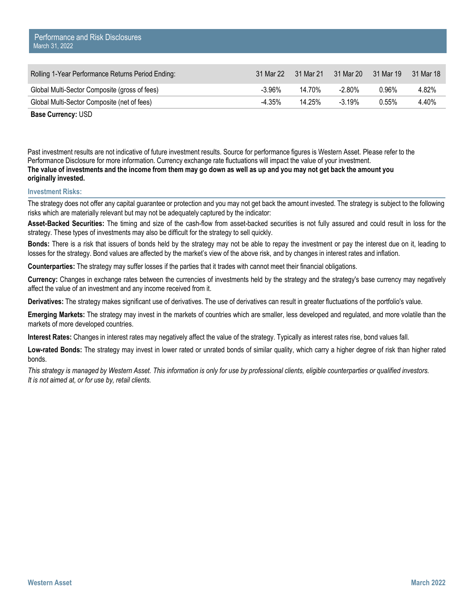| Rolling 1-Year Performance Returns Period Ending: | 31 Mar 22 31 Mar 21 |        | 31 Mar 20 | 31 Mar 19 | 31 Mar 18 |
|---------------------------------------------------|---------------------|--------|-----------|-----------|-----------|
| Global Multi-Sector Composite (gross of fees)     | -3.96%              | 14.70% | -2.80%    | 0.96%     | 4.82%     |
| Global Multi-Sector Composite (net of fees)       | -4.35%              | 14.25% | $-3.19\%$ | 0.55%     | 4.40%     |

Past investment results are not indicative of future investment results. Source for performance figures is Western Asset. Please refer to the Performance Disclosure for more information. Currency exchange rate fluctuations will impact the value of your investment. **The value of investments and the income from them may go down as well as up and you may not get back the amount you originally invested.** 

## **Investment Risks:**

The strategy does not offer any capital guarantee or protection and you may not get back the amount invested. The strategy is subject to the following risks which are materially relevant but may not be adequately captured by the indicator:

**Asset-Backed Securities:** The timing and size of the cash-flow from asset-backed securities is not fully assured and could result in loss for the strategy. These types of investments may also be difficult for the strategy to sell quickly.

**Bonds:** There is a risk that issuers of bonds held by the strategy may not be able to repay the investment or pay the interest due on it, leading to losses for the strategy. Bond values are affected by the market's view of the above risk, and by changes in interest rates and inflation.

**Counterparties:** The strategy may suffer losses if the parties that it trades with cannot meet their financial obligations.

**Currency:** Changes in exchange rates between the currencies of investments held by the strategy and the strategy's base currency may negatively affect the value of an investment and any income received from it.

**Derivatives:** The strategy makes significant use of derivatives. The use of derivatives can result in greater fluctuations of the portfolio's value.

**Emerging Markets:** The strategy may invest in the markets of countries which are smaller, less developed and regulated, and more volatile than the markets of more developed countries.

**Interest Rates:** Changes in interest rates may negatively affect the value of the strategy. Typically as interest rates rise, bond values fall.

**Low-rated Bonds:** The strategy may invest in lower rated or unrated bonds of similar quality, which carry a higher degree of risk than higher rated bonds.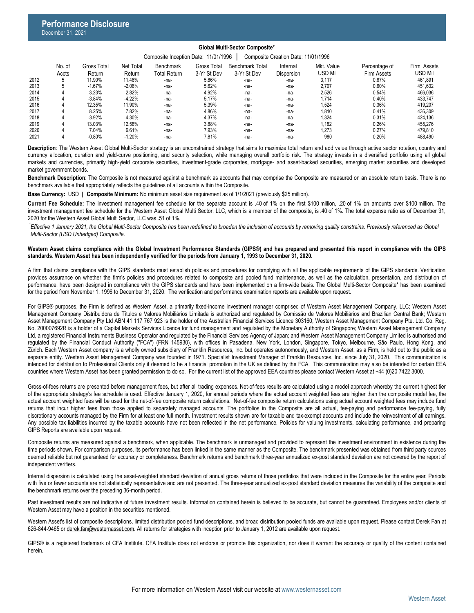# **Global Multi-Sector Composite\***

#### Composite Inception Date: 11/01/1996 | Composite Creation Date: 11/01/1996 Internal Benchmark Total Gross Total Benchmark Net Total Mkt. Value

|      | No. of | Gross Total | Net Total | Benchmark           | <b>Gross Total</b> | <b>Benchmark Total</b> | Internal   | Mkt. Value | Percentage of | Firm Assets |
|------|--------|-------------|-----------|---------------------|--------------------|------------------------|------------|------------|---------------|-------------|
|      | Accts  | Return      | Return    | <b>Total Return</b> | 3-Yr St Dev        | 3-Yr St Dev            | Dispersion | usd Mil    | Firm Assets   | USD Mil     |
| 2012 |        | 11.90%      | 11.46%    | -na-                | 5.86%              | -na-                   | -na-       | 3,117      | 0.67%         | 461.891     |
| 2013 |        | $-1.67%$    | $-2.06%$  | -na-                | 5.62%              | -na-                   | -na-       | 2,707      | 0.60%         | 451.632     |
| 2014 |        | 3.23%       | 2.82%     | -na-                | 4.92%              | -na-                   | -na-       | 2.526      | 0.54%         | 466.036     |
| 2015 |        | $-3.84%$    | $-4.22%$  | -na-                | 5.17%              | -na-                   | -na-       | 1.714      | 0.40%         | 433.747     |
| 2016 | 4      | 12.35%      | 11.90%    | -na-                | 5.39%              | -na-                   | -na-       | 1.524      | 0.36%         | 419.207     |
| 2017 |        | 8.25%       | 7.82%     | -na-                | 4.86%              | -na-                   | -na-       | 1,810      | 0.41%         | 436.309     |
| 2018 |        | $-3.92%$    | $-4.30%$  | -na-                | 4.37%              | -na-                   | -na-       | 1,324      | 0.31%         | 424.136     |
| 2019 |        | 13.03%      | 12.58%    | -na-                | 3.88%              | -na-                   | -na-       | 182.       | 0.26%         | 455.276     |
| 2020 |        | 7.04%       | 6.61%     | -na-                | 7.93%              | -na-                   | -na-       | 1.273      | 0.27%         | 479.810     |
| 2021 |        | $-0.80%$    | $-1.20%$  | -na-                | 7.81%              | -na-                   | -na-       | 980        | 0.20%         | 488.490     |

Description: The Western Asset Global Multi-Sector strategy is an unconstrained strategy that aims to maximize total return and add value through active sector rotation, country and currency allocation, duration and yield-curve positioning, and security selection, while managing overall portfolio risk. The strategy invests in a diversified portfolio using all global markets and currencies, primarily high-yield corporate securities, investment-grade corporates, mortgage- and asset-backed securities, emerging market securities and developed market government bonds.

**Benchmark Description**: The Composite is not measured against a benchmark as accounts that may comprise the Composite are measured on an absolute return basis. There is no benchmark available that appropriately reflects the guidelines of all accounts within the Composite.

**Base Currency:** USD | **Composite Minimum:** No minimum asset size requirement as of 1/1/2021 (previously \$25 million).

**Current Fee Schedule:** The investment management fee schedule for the separate account is .40 of 1% on the first \$100 million, .20 of 1% on amounts over \$100 million. The investment management fee schedule for the Western Asset Global Multi Sector, LLC, which is a member of the composite, is .40 of 1%. The total expense ratio as of December 31, 2020 for the Western Asset Global Multi Sector, LLC was .51 of 1%.

*Effective 1 January 2021, the Global Multi-Sector Composite has been redefined to broaden the inclusion of accounts by removing quality constrains. Previously referenced as Global \* Multi-Sector (USD Unhedged) Composite.*

### Western Asset claims compliance with the Global Investment Performance Standards (GIPS®) and has prepared and presented this report in compliance with the GIPS **standards. Western Asset has been independently verified for the periods from January 1, 1993 to December 31, 2020.**

A firm that claims compliance with the GIPS standards must establish policies and procedures for complying with all the applicable requirements of the GIPS standards. Verification provides assurance on whether the firm's policies and procedures related to composite and pooled fund maintenance, as well as the calculation, presentation, and distribution of performance, have been designed in compliance with the GIPS standards and have been implemented on a firm-wide basis. The Global Multi-Sector Composite\* has been examined for the period from November 1, 1996 to December 31, 2020. The verification and performance examination reports are available upon request.

For GIPS® purposes, the Firm is defined as Western Asset, a primarily fixed-income investment manager comprised of Western Asset Management Company, LLC; Western Asset Management Company Distribuidora de Títulos e Valores Mobiliários Limitada is authorized and regulated by Comissão de Valores Mobiliários and Brazilian Central Bank; Western Asset Management Company Pty Ltd ABN 41 117 767 923 is the holder of the Australian Financial Services Licence 303160; Western Asset Management Company Pte. Ltd. Co. Reg. No. 200007692R is a holder of a Capital Markets Services Licence for fund management and regulated by the Monetary Authority of Singapore; Western Asset Management Company Ltd, a registered Financial Instruments Business Operator and regulated by the Financial Services Agency of Japan; and Western Asset Management Company Limited is authorised and regulated by the Financial Conduct Authority ("FCA") (FRN 145930), with offices in Pasadena, New York, London, Singapore, Tokyo, Melbourne, São Paulo, Hong Kong, and Zürich. Each Western Asset company is a wholly owned subsidiary of Franklin Resources, Inc. but operates autonomously, and Western Asset, as a Firm, is held out to the public as a separate entity. Western Asset Management Company was founded in 1971. Specialist Investment Manager of Franklin Resources, Inc. since July 31, 2020. This communication is intended for distribution to Professional Clients only if deemed to be a financial promotion in the UK as defined by the FCA. This communication may also be intended for certain EEA countries where Western Asset has been granted permission to do so. For the current list of the approved EEA countries please contact Western Asset at +44 (0)20 7422 3000.

Gross-of-fees returns are presented before management fees, but after all trading expenses. Net-of-fees results are calculated using a model approach whereby the current highest tier of the appropriate strategy's fee schedule is used. Effective January 1, 2020, for annual periods where the actual account weighted fees are higher than the composite model fee, the actual account weighted fees will be used for the net-of-fee composite return calculations. Net-of-fee composite return calculations using actual account weighted fees may include fund returns that incur higher fees than those applied to separately managed accounts. The portfolios in the Composite are all actual, fee-paying and performance fee-paying, fully discretionary accounts managed by the Firm for at least one full month. Investment results shown are for taxable and tax-exempt accounts and include the reinvestment of all earnings. Any possible tax liabilities incurred by the taxable accounts have not been reflected in the net performance. Policies for valuing investments, calculating performance, and preparing GIPS Reports are available upon request.

Composite returns are measured against a benchmark, when applicable. The benchmark is unmanaged and provided to represent the investment environment in existence during the time periods shown. For comparison purposes, its performance has been linked in the same manner as the Composite. The benchmark presented was obtained from third party sources deemed reliable but not guaranteed for accuracy or completeness. Benchmark returns and benchmark three-year annualized ex-post standard deviation are not covered by the report of independent verifiers.

Internal dispersion is calculated using the asset-weighted standard deviation of annual gross returns of those portfolios that were included in the Composite for the entire year. Periods with five or fewer accounts are not statistically representative and are not presented. The three-year annualized ex-post standard deviation measures the variability of the composite and the benchmark returns over the preceding 36-month period.

Past investment results are not indicative of future investment results. Information contained herein is believed to be accurate, but cannot be guaranteed. Employees and/or clients of Western Asset may have a position in the securities mentioned.

Western Asset's list of composite descriptions, limited distribution pooled fund descriptions, and broad distribution pooled funds are available upon request. Please contact Derek Fan at 626-844-9465 or [derek.fan@westernasset.com](mailto:derek.fan@westernasset.com). All returns for strategies with inception prior to January 1, 2012 are available upon request.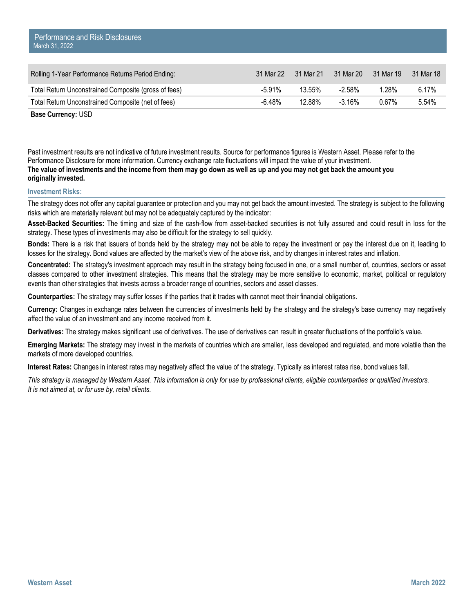| Rolling 1-Year Performance Returns Period Ending:    | 31 Mar 22 | 31 Mar 21 | 31 Mar 20 | 31 Mar 19 | 31 Mar 18 |
|------------------------------------------------------|-----------|-----------|-----------|-----------|-----------|
| Total Return Unconstrained Composite (gross of fees) | $-5.91\%$ | 13.55%    | -2.58%    | l 28%     | 6.17%     |
| Total Return Unconstrained Composite (net of fees)   | $-6.48\%$ | 12.88%    | $-3.16\%$ | 0.67%     | 5.54%     |

Past investment results are not indicative of future investment results. Source for performance figures is Western Asset. Please refer to the Performance Disclosure for more information. Currency exchange rate fluctuations will impact the value of your investment. **The value of investments and the income from them may go down as well as up and you may not get back the amount you originally invested.** 

## **Investment Risks:**

The strategy does not offer any capital guarantee or protection and you may not get back the amount invested. The strategy is subject to the following risks which are materially relevant but may not be adequately captured by the indicator:

**Asset-Backed Securities:** The timing and size of the cash-flow from asset-backed securities is not fully assured and could result in loss for the strategy. These types of investments may also be difficult for the strategy to sell quickly.

**Bonds:** There is a risk that issuers of bonds held by the strategy may not be able to repay the investment or pay the interest due on it, leading to losses for the strategy. Bond values are affected by the market's view of the above risk, and by changes in interest rates and inflation.

**Concentrated:** The strategy's investment approach may result in the strategy being focused in one, or a small number of, countries, sectors or asset classes compared to other investment strategies. This means that the strategy may be more sensitive to economic, market, political or regulatory events than other strategies that invests across a broader range of countries, sectors and asset classes.

**Counterparties:** The strategy may suffer losses if the parties that it trades with cannot meet their financial obligations.

**Currency:** Changes in exchange rates between the currencies of investments held by the strategy and the strategy's base currency may negatively affect the value of an investment and any income received from it.

**Derivatives:** The strategy makes significant use of derivatives. The use of derivatives can result in greater fluctuations of the portfolio's value.

**Emerging Markets:** The strategy may invest in the markets of countries which are smaller, less developed and regulated, and more volatile than the markets of more developed countries.

**Interest Rates:** Changes in interest rates may negatively affect the value of the strategy. Typically as interest rates rise, bond values fall.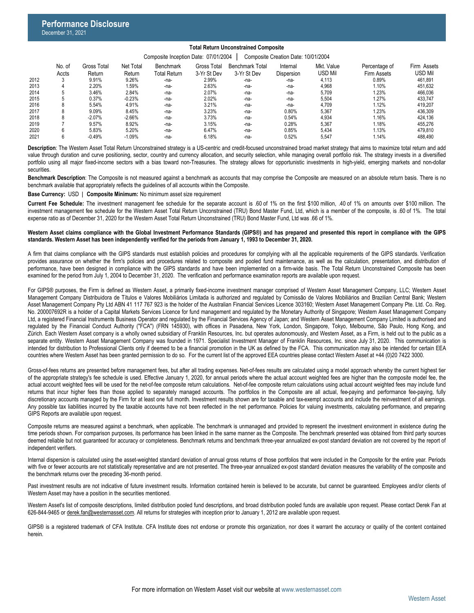## **Total Return Unconstrained Composite**

#### Composite Inception Date: 07/01/2004 | Composite Creation Date: 10/01/2004

|      | No. of<br>Accts | <b>Gross Total</b><br>Return | Net Total<br>Return | Benchmark<br><b>Total Return</b> | Gross Total<br>3-Yr St Dev | Benchmark Total<br>3-Yr St Dev | Internal<br><b>Dispersion</b> | Mkt. Value<br>USD Mil | Percentage of<br>Firm Assets | Firm Assets<br>usd Mil |
|------|-----------------|------------------------------|---------------------|----------------------------------|----------------------------|--------------------------------|-------------------------------|-----------------------|------------------------------|------------------------|
| 2012 |                 | 9.91%                        | 9.26%               | -na-                             | 2.99%                      | -na-                           | -na-                          | 4.113                 | 0.89%                        | 461.891                |
| 2013 |                 | 2.20%                        | 1.59%               | -na-                             | 2.63%                      | -na-                           | -na-                          | 4.968                 | .10%                         | 451.632                |
| 2014 |                 | 3.46%                        | 2.84%               | -na-                             | 2.07%                      | -na-                           | -na-                          | 5.709                 | 1.23%                        | 466.036                |
| 2015 |                 | 0.37%                        | $-0.23%$            | -na-                             | 2.02%                      | -na-                           | -na-                          | 5.504                 | 1.27%                        | 433.747                |
| 2016 |                 | 5.54%                        | 4.91%               | -na-                             | 3.21%                      | -na-                           | -na-                          | 4.709                 | .12%                         | 419.207                |
| 2017 |                 | 9.09%                        | 8.45%               | -na-                             | 3.23%                      | -na-                           | $0.80\%$                      | 5.367                 | 1.23%                        | 436.309                |
| 2018 |                 | $-2.07%$                     | $-2.66%$            | -na-                             | 3.73%                      | -na-                           | $0.54\%$                      | 4.934                 | .16%                         | 424.136                |
| 2019 |                 | 9.57%                        | 8.92%               | -na-                             | 3.15%                      | -na-                           | $0.28\%$                      | 5.367                 | .18%                         | 455.276                |
| 2020 | 6               | 5.83%                        | 5.20%               | -na-                             | 6.47%                      | $-na-$                         | 0.85%                         | 5.434                 | .13%                         | 479.810                |
| 2021 |                 | $-0.49%$                     | $-1.09%$            | -na-                             | 6.18%                      | -na-                           | 0.52%                         | 5.547                 | .14%                         | 488.490                |
|      |                 |                              |                     |                                  |                            |                                |                               |                       |                              |                        |

**Description**: The Western Asset Total Return Unconstrained strategy is a US-centric and credit-focused unconstrained broad market strategy that aims to maximize total return and add value through duration and curve positioning, sector, country and currency allocation, and security selection, while managing overall portfolio risk. The strategy invests in a diversified portfolio using all major fixed-income sectors with a bias toward non-Treasuries. The strategy allows for opportunistic investments in high-yield, emerging markets and non-dollar **securities** 

**Benchmark Description**: The Composite is not measured against a benchmark as accounts that may comprise the Composite are measured on an absolute return basis. There is no benchmark available that appropriately reflects the guidelines of all accounts within the Composite.

**Base Currency:** USD | **Composite Minimum:** No minimum asset size requirement

**Current Fee Schedule:** The investment management fee schedule for the separate account is .60 of 1% on the first \$100 million, .40 of 1% on amounts over \$100 million. The investment management fee schedule for the Western Asset Total Return Unconstrained (TRU) Bond Master Fund, Ltd, which is a member of the composite, is .60 of 1%. The total expense ratio as of December 31, 2020 for the Western Asset Total Return Unconstrained (TRU) Bond Master Fund, Ltd was .66 of 1%.

#### Western Asset claims compliance with the Global Investment Performance Standards (GIPS®) and has prepared and presented this report in compliance with the GIPS **standards. Western Asset has been independently verified for the periods from January 1, 1993 to December 31, 2020.**

A firm that claims compliance with the GIPS standards must establish policies and procedures for complying with all the applicable requirements of the GIPS standards. Verification provides assurance on whether the firm's policies and procedures related to composite and pooled fund maintenance, as well as the calculation, presentation, and distribution of performance, have been designed in compliance with the GIPS standards and have been implemented on a firm-wide basis. The Total Return Unconstrained Composite has been examined for the period from July 1, 2004 to December 31, 2020. The verification and performance examination reports are available upon request.

For GIPS® purposes, the Firm is defined as Western Asset, a primarily fixed-income investment manager comprised of Western Asset Management Company, LLC; Western Asset Management Company Distribuidora de Títulos e Valores Mobiliários Limitada is authorized and regulated by Comissão de Valores Mobiliários and Brazilian Central Bank; Western Asset Management Company Pty Ltd ABN 41 117 767 923 is the holder of the Australian Financial Services Licence 303160; Western Asset Management Company Pte. Ltd. Co. Reg. No. 200007692R is a holder of a Capital Markets Services Licence for fund management and regulated by the Monetary Authority of Singapore; Western Asset Management Company Ltd, a registered Financial Instruments Business Operator and regulated by the Financial Services Agency of Japan; and Western Asset Management Company Limited is authorised and regulated by the Financial Conduct Authority ("FCA") (FRN 145930), with offices in Pasadena, New York, London, Singapore, Tokyo, Melbourne, São Paulo, Hong Kong, and Zürich. Each Western Asset company is a wholly owned subsidiary of Franklin Resources, Inc. but operates autonomously, and Western Asset, as a Firm, is held out to the public as a separate entity. Western Asset Management Company was founded in 1971. Specialist Investment Manager of Franklin Resources, Inc. since July 31, 2020. This communication is intended for distribution to Professional Clients only if deemed to be a financial promotion in the UK as defined by the FCA. This communication may also be intended for certain EEA countries where Western Asset has been granted permission to do so. For the current list of the approved EEA countries please contact Western Asset at +44 (0)20 7422 3000.

Gross-of-fees returns are presented before management fees, but after all trading expenses. Net-of-fees results are calculated using a model approach whereby the current highest tier of the appropriate strategy's fee schedule is used. Effective January 1, 2020, for annual periods where the actual account weighted fees are higher than the composite model fee, the actual account weighted fees will be used for the net-of-fee composite return calculations. Net-of-fee composite return calculations using actual account weighted fees may include fund returns that incur higher fees than those applied to separately managed accounts. The portfolios in the Composite are all actual, fee-paying and performance fee-paying, fully discretionary accounts managed by the Firm for at least one full month. Investment results shown are for taxable and tax-exempt accounts and include the reinvestment of all earnings. Any possible tax liabilities incurred by the taxable accounts have not been reflected in the net performance. Policies for valuing investments, calculating performance, and preparing GIPS Reports are available upon request.

Composite returns are measured against a benchmark, when applicable. The benchmark is unmanaged and provided to represent the investment environment in existence during the time periods shown. For comparison purposes, its performance has been linked in the same manner as the Composite. The benchmark presented was obtained from third party sources deemed reliable but not guaranteed for accuracy or completeness. Benchmark returns and benchmark three-year annualized ex-post standard deviation are not covered by the report of independent verifiers.

Internal dispersion is calculated using the asset-weighted standard deviation of annual gross returns of those portfolios that were included in the Composite for the entire year. Periods with five or fewer accounts are not statistically representative and are not presented. The three-year annualized ex-post standard deviation measures the variability of the composite and the benchmark returns over the preceding 36-month period.

Past investment results are not indicative of future investment results. Information contained herein is believed to be accurate, but cannot be guaranteed. Employees and/or clients of Western Asset may have a position in the securities mentioned.

Western Asset's list of composite descriptions, limited distribution pooled fund descriptions, and broad distribution pooled funds are available upon request. Please contact Derek Fan at 626-844-9465 or [derek.fan@westernasset.com](mailto:derek.fan@westernasset.com). All returns for strategies with inception prior to January 1, 2012 are available upon request.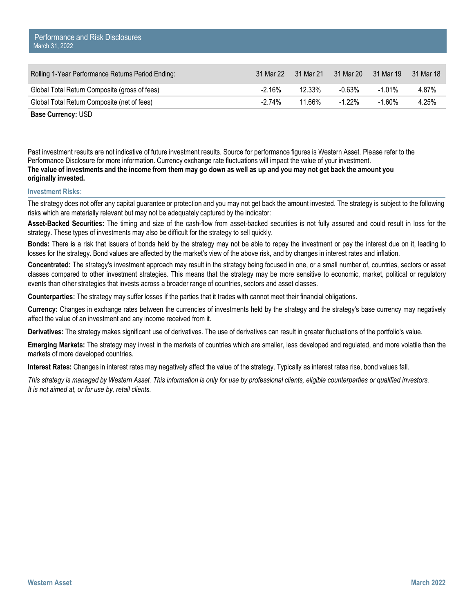| Rolling 1-Year Performance Returns Period Ending: | 31 Mar 22 | 31 Mar 21 | 31 Mar 20 | 31 Mar 19 | 31 Mar 18 |
|---------------------------------------------------|-----------|-----------|-----------|-----------|-----------|
| Global Total Return Composite (gross of fees)     | $-2.16\%$ | 12.33%    | -0.63%    | -1 01%    | 4.87%     |
| Global Total Return Composite (net of fees)       | $-2.74\%$ | 11.66%    | $-1.22\%$ | $-1.60\%$ | 4.25%     |

Past investment results are not indicative of future investment results. Source for performance figures is Western Asset. Please refer to the Performance Disclosure for more information. Currency exchange rate fluctuations will impact the value of your investment. **The value of investments and the income from them may go down as well as up and you may not get back the amount you originally invested.** 

## **Investment Risks:**

The strategy does not offer any capital guarantee or protection and you may not get back the amount invested. The strategy is subject to the following risks which are materially relevant but may not be adequately captured by the indicator:

**Asset-Backed Securities:** The timing and size of the cash-flow from asset-backed securities is not fully assured and could result in loss for the strategy. These types of investments may also be difficult for the strategy to sell quickly.

**Bonds:** There is a risk that issuers of bonds held by the strategy may not be able to repay the investment or pay the interest due on it, leading to losses for the strategy. Bond values are affected by the market's view of the above risk, and by changes in interest rates and inflation.

**Concentrated:** The strategy's investment approach may result in the strategy being focused in one, or a small number of, countries, sectors or asset classes compared to other investment strategies. This means that the strategy may be more sensitive to economic, market, political or regulatory events than other strategies that invests across a broader range of countries, sectors and asset classes.

**Counterparties:** The strategy may suffer losses if the parties that it trades with cannot meet their financial obligations.

**Currency:** Changes in exchange rates between the currencies of investments held by the strategy and the strategy's base currency may negatively affect the value of an investment and any income received from it.

**Derivatives:** The strategy makes significant use of derivatives. The use of derivatives can result in greater fluctuations of the portfolio's value.

**Emerging Markets:** The strategy may invest in the markets of countries which are smaller, less developed and regulated, and more volatile than the markets of more developed countries.

**Interest Rates:** Changes in interest rates may negatively affect the value of the strategy. Typically as interest rates rise, bond values fall.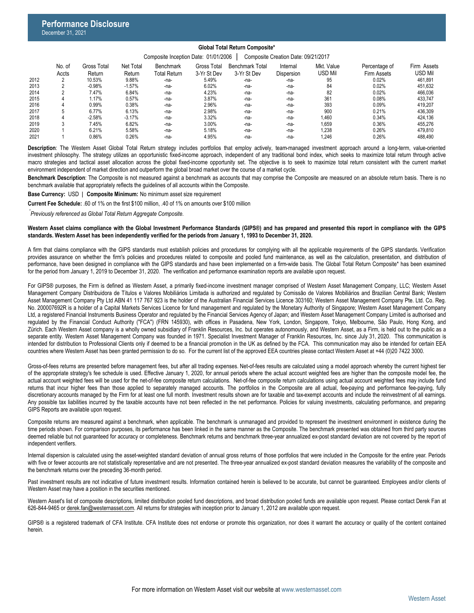## **Global Total Return Composite\***

|      | No. of | Gross Total | Net Total | Benchmark    | <b>Gross Total</b> | <b>Benchmark Total</b> | Internal   | Mkt. Value | Percentage of | Firm Assets |
|------|--------|-------------|-----------|--------------|--------------------|------------------------|------------|------------|---------------|-------------|
|      | Accts  | Return      | Return    | Total Return | 3-Yr St Dev        | 3-Yr St Dev            | Dispersion | usd Mil    | Firm Assets   | USD Mil     |
| 2012 |        | 10.53%      | 9.88%     | -na-         | 5.49%              | -na-                   | -na-       | 95         | 0.02%         | 461.891     |
| 2013 |        | $-0.98%$    | $-1.57%$  | -na-         | 6.02%              | -na-                   | -na-       | 84         | 0.02%         | 451.632     |
| 2014 |        | 7.47%       | 6.84%     | -na-         | 4.23%              | $-na-$                 | -na-       | 82         | 0.02%         | 466.036     |
| 2015 |        | 1.17%       | 0.57%     | -na-         | 3.87%              | -na-                   | -na-       | 361        | 0.08%         | 433.747     |
| 2016 |        | 0.99%       | 0.38%     | -na-         | 2.96%              | -na-                   | -na-       | 393        | 0.09%         | 419.207     |
| 2017 |        | 6.77%       | 6.13%     | -na-         | 2.98%              | -na-                   | -na-       | 900        | 0.21%         | 436.309     |
| 2018 |        | $-2.58%$    | $-3.17%$  | -na-         | 3.32%              | $-na-$                 | -na-       | 1,460      | 0.34%         | 424.136     |
| 2019 |        | 7.45%       | 6.82%     | -na-         | 3.00%              | -na-                   | -na-       | 1.659      | 0.36%         | 455.276     |
| 2020 |        | 6.21%       | 5.58%     | -na-         | 5.18%              | -na-                   | -na-       | 1.238      | 0.26%         | 479.810     |
| 2021 |        | $0.86\%$    | 0.26%     | -na-         | 4.95%              | $-na-$                 | -na-       | 1.246      | 0.26%         | 488.490     |
|      |        |             |           |              |                    |                        |            |            |               |             |

**Description**: The Western Asset Global Total Return strategy includes portfolios that employ actively, team-managed investment approach around a long-term, value-oriented investment philosophy. The strategy utilizes an opportunistic fixed-income approach, independent of any traditional bond index, which seeks to maximize total return through active macro strategies and tactical asset allocation across the global fixed-income opportunity set. The objective is to seek to maximize total return consistent with the current market environment independent of market direction and outperform the global broad market over the course of a market cycle.

**Benchmark Description**: The Composite is not measured against a benchmark as accounts that may comprise the Composite are measured on an absolute return basis. There is no benchmark available that appropriately reflects the guidelines of all accounts within the Composite.

**Base Currency:** USD | **Composite Minimum:** No minimum asset size requirement

**Current Fee Schedule:** .60 of 1% on the first \$100 million, .40 of 1% on amounts over \$100 million

*Previously referenced as Global Total Return Aggregate Composite. \**

#### Western Asset claims compliance with the Global Investment Performance Standards (GIPS®) and has prepared and presented this report in compliance with the GIPS **standards. Western Asset has been independently verified for the periods from January 1, 1993 to December 31, 2020.**

A firm that claims compliance with the GIPS standards must establish policies and procedures for complying with all the applicable requirements of the GIPS standards. Verification provides assurance on whether the firm's policies and procedures related to composite and pooled fund maintenance, as well as the calculation, presentation, and distribution of performance, have been designed in compliance with the GIPS standards and have been implemented on a firm-wide basis. The Global Total Return Composite\* has been examined for the period from January 1, 2019 to December 31, 2020. The verification and performance examination reports are available upon request.

For GIPS® purposes, the Firm is defined as Western Asset, a primarily fixed-income investment manager comprised of Western Asset Management Company, LLC; Western Asset Management Company Distribuidora de Títulos e Valores Mobiliários Limitada is authorized and regulated by Comissão de Valores Mobiliários and Brazilian Central Bank; Western Asset Management Company Pty Ltd ABN 41 117 767 923 is the holder of the Australian Financial Services Licence 303160; Western Asset Management Company Pte. Ltd. Co. Reg. No. 200007692R is a holder of a Capital Markets Services Licence for fund management and regulated by the Monetary Authority of Singapore; Western Asset Management Company Ltd, a registered Financial Instruments Business Operator and regulated by the Financial Services Agency of Japan; and Western Asset Management Company Limited is authorised and regulated by the Financial Conduct Authority ("FCA") (FRN 145930), with offices in Pasadena, New York, London, Singapore, Tokyo, Melbourne, São Paulo, Hong Kong, and Zürich. Each Western Asset company is a wholly owned subsidiary of Franklin Resources, Inc. but operates autonomously, and Western Asset, as a Firm, is held out to the public as a separate entity. Western Asset Management Company was founded in 1971. Specialist Investment Manager of Franklin Resources, Inc. since July 31, 2020. This communication is intended for distribution to Professional Clients only if deemed to be a financial promotion in the UK as defined by the FCA. This communication may also be intended for certain EEA countries where Western Asset has been granted permission to do so. For the current list of the approved EEA countries please contact Western Asset at +44 (0)20 7422 3000.

Gross-of-fees returns are presented before management fees, but after all trading expenses. Net-of-fees results are calculated using a model approach whereby the current highest tier of the appropriate strategy's fee schedule is used. Effective January 1, 2020, for annual periods where the actual account weighted fees are higher than the composite model fee, the actual account weighted fees will be used for the net-of-fee composite return calculations. Net-of-fee composite return calculations using actual account weighted fees may include fund returns that incur higher fees than those applied to separately managed accounts. The portfolios in the Composite are all actual, fee-paying and performance fee-paying, fully discretionary accounts managed by the Firm for at least one full month. Investment results shown are for taxable and tax-exempt accounts and include the reinvestment of all earnings. Any possible tax liabilities incurred by the taxable accounts have not been reflected in the net performance. Policies for valuing investments, calculating performance, and preparing GIPS Reports are available upon request.

Composite returns are measured against a benchmark, when applicable. The benchmark is unmanaged and provided to represent the investment environment in existence during the time periods shown. For comparison purposes, its performance has been linked in the same manner as the Composite. The benchmark presented was obtained from third party sources deemed reliable but not quaranteed for accuracy or completeness. Benchmark returns and benchmark three-year annualized ex-post standard deviation are not covered by the report of independent verifiers.

Internal dispersion is calculated using the asset-weighted standard deviation of annual gross returns of those portfolios that were included in the Composite for the entire year. Periods with five or fewer accounts are not statistically representative and are not presented. The three-year annualized ex-post standard deviation measures the variability of the composite and the benchmark returns over the preceding 36-month period.

Past investment results are not indicative of future investment results. Information contained herein is believed to be accurate, but cannot be guaranteed. Employees and/or clients of Western Asset may have a position in the securities mentioned.

Western Asset's list of composite descriptions, limited distribution pooled fund descriptions, and broad distribution pooled funds are available upon request. Please contact Derek Fan at 626-844-9465 or [derek.fan@westernasset.com](mailto:derek.fan@westernasset.com). All returns for strategies with inception prior to January 1, 2012 are available upon request.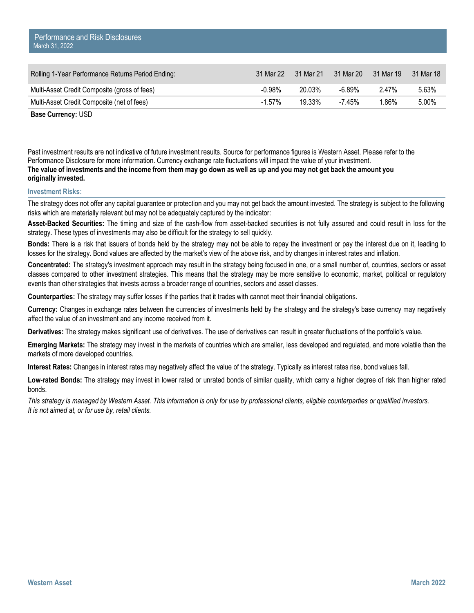| Rolling 1-Year Performance Returns Period Ending: | 31 Mar 22 | 31 Mar 21 | 31 Mar 20 | 31 Mar 19 | 31 Mar 18 |
|---------------------------------------------------|-----------|-----------|-----------|-----------|-----------|
| Multi-Asset Credit Composite (gross of fees)      | $-0.98\%$ | 20.03%    | -6.89%    | $2.47\%$  | 5.63%     |
| Multi-Asset Credit Composite (net of fees)        | $-1.57\%$ | 19.33%    | -7.45%    | 1.86%     | 5.00%     |

Past investment results are not indicative of future investment results. Source for performance figures is Western Asset. Please refer to the Performance Disclosure for more information. Currency exchange rate fluctuations will impact the value of your investment. **The value of investments and the income from them may go down as well as up and you may not get back the amount you originally invested.** 

## **Investment Risks:**

The strategy does not offer any capital guarantee or protection and you may not get back the amount invested. The strategy is subject to the following risks which are materially relevant but may not be adequately captured by the indicator:

**Asset-Backed Securities:** The timing and size of the cash-flow from asset-backed securities is not fully assured and could result in loss for the strategy. These types of investments may also be difficult for the strategy to sell quickly.

**Bonds:** There is a risk that issuers of bonds held by the strategy may not be able to repay the investment or pay the interest due on it, leading to losses for the strategy. Bond values are affected by the market's view of the above risk, and by changes in interest rates and inflation.

**Concentrated:** The strategy's investment approach may result in the strategy being focused in one, or a small number of, countries, sectors or asset classes compared to other investment strategies. This means that the strategy may be more sensitive to economic, market, political or regulatory events than other strategies that invests across a broader range of countries, sectors and asset classes.

**Counterparties:** The strategy may suffer losses if the parties that it trades with cannot meet their financial obligations.

**Currency:** Changes in exchange rates between the currencies of investments held by the strategy and the strategy's base currency may negatively affect the value of an investment and any income received from it.

**Derivatives:** The strategy makes significant use of derivatives. The use of derivatives can result in greater fluctuations of the portfolio's value.

**Emerging Markets:** The strategy may invest in the markets of countries which are smaller, less developed and regulated, and more volatile than the markets of more developed countries.

**Interest Rates:** Changes in interest rates may negatively affect the value of the strategy. Typically as interest rates rise, bond values fall.

**Low-rated Bonds:** The strategy may invest in lower rated or unrated bonds of similar quality, which carry a higher degree of risk than higher rated bonds.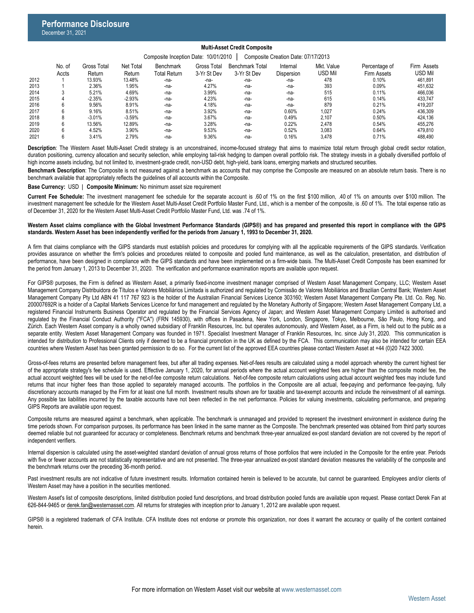#### **Multi-Asset Credit Composite** Composite Inception Date: 10/01/2010 | Composite Creation Date: 07/17/2013

|      | <b>PONTROPIC INCORNOIT DUTC.</b> TOID HE OTO<br><b>POILIPOSITO OF CATION DATO:</b> 01/11/2010 |             |           |                     |             |                        |                   |            |               |             |  |
|------|-----------------------------------------------------------------------------------------------|-------------|-----------|---------------------|-------------|------------------------|-------------------|------------|---------------|-------------|--|
|      | No. of                                                                                        | Gross Total | Net Total | <b>Benchmark</b>    | Gross Total | <b>Benchmark Total</b> | Internal          | Mkt. Value | Percentage of | Firm Assets |  |
|      | Accts                                                                                         | Return      | Return    | <b>Total Return</b> | 3-Yr St Dev | 3-Yr St Dev            | <b>Dispersion</b> | usd Mil    | Firm Assets   | USD Mil     |  |
| 2012 |                                                                                               | 13.93%      | 13.48%    | -na-                | -na-        | -na-                   | $-na-$            | 478        | 0.10%         | 461.891     |  |
| 2013 |                                                                                               | 2.36%       | 1.95%     | -na-                | 4.27%       | $-na-$                 | -na-              | 393        | 0.09%         | 451.632     |  |
| 2014 |                                                                                               | 5.21%       | 4.69%     | -na-                | 3.99%       | $-na-$                 | -na-              | 515        | 0.11%         | 466,036     |  |
| 2015 |                                                                                               | $-2.35%$    | $-2.93%$  | -na-                | 4.23%       | $-na-$                 | -na-              | 615        | 0.14%         | 433.747     |  |
| 2016 | 6                                                                                             | 9.56%       | 8.91%     | -na-                | 4.18%       | -na-                   | $-na-$            | 879        | 0.21%         | 419.207     |  |
| 2017 | 6                                                                                             | 9.16%       | 8.51%     | -na-                | 3.92%       | $-na-$                 | 0.60%             | 1.027      | 0.24%         | 436.309     |  |
| 2018 | 8                                                                                             | $-3.01%$    | $-3.59%$  | -na-                | 3.67%       | $-na-$                 | 0.49%             | 2.107      | 0.50%         | 424.136     |  |
| 2019 | 6                                                                                             | 13.56%      | 12.89%    | -na-                | 3.28%       | $-na-$                 | 0.22%             | 2.478      | 0.54%         | 455.276     |  |
| 2020 | 6                                                                                             | 4.52%       | 3.90%     | -na-                | 9.53%       | -na-                   | 0.52%             | 3.083      | 0.64%         | 479.810     |  |
| 2021 | b                                                                                             | 3.41%       | 2.79%     | -na-                | 9.36%       | -na-                   | 0.16%             | 3.478      | 0.71%         | 488.490     |  |
|      |                                                                                               |             |           |                     |             |                        |                   |            |               |             |  |

**Description**: The Western Asset Multi-Asset Credit strategy is an unconstrained, income-focused strategy that aims to maximize total return through global credit sector rotation, duration positioning, currency allocation and security selection, while employing tail-risk hedging to dampen overall portfolio risk. The strategy invests in a globally diversified portfolio of high income assets including, but not limited to, investment-grade credit, non-USD debt, high-yield, bank loans, emerging markets and structured securities.

**Benchmark Description**: The Composite is not measured against a benchmark as accounts that may comprise the Composite are measured on an absolute return basis. There is no benchmark available that appropriately reflects the guidelines of all accounts within the Composite.

**Base Currency:** USD | **Composite Minimum:** No minimum asset size requirement

**Current Fee Schedule:** The investment management fee schedule for the separate account is .60 of 1% on the first \$100 million, .40 of 1% on amounts over \$100 million. The investment management fee schedule for the Western Asset Multi-Asset Credit Portfolio Master Fund, Ltd., which is a member of the composite, is .60 of 1%. The total expense ratio as of December 31, 2020 for the Western Asset Multi-Asset Credit Portfolio Master Fund, Ltd. was .74 of 1%.

#### Western Asset claims compliance with the Global Investment Performance Standards (GIPS®) and has prepared and presented this report in compliance with the GIPS **standards. Western Asset has been independently verified for the periods from January 1, 1993 to December 31, 2020.**

A firm that claims compliance with the GIPS standards must establish policies and procedures for complying with all the applicable requirements of the GIPS standards. Verification provides assurance on whether the firm's policies and procedures related to composite and pooled fund maintenance, as well as the calculation, presentation, and distribution of performance, have been designed in compliance with the GIPS standards and have been implemented on a firm-wide basis. The Multi-Asset Credit Composite has been examined for the period from January 1, 2013 to December 31, 2020. The verification and performance examination reports are available upon request.

For GIPS® purposes, the Firm is defined as Western Asset, a primarily fixed-income investment manager comprised of Western Asset Management Company, LLC; Western Asset Management Company Distribuidora de Títulos e Valores Mobiliários Limitada is authorized and regulated by Comissão de Valores Mobiliários and Brazilian Central Bank; Western Asset Management Company Pty Ltd ABN 41 117 767 923 is the holder of the Australian Financial Services Licence 303160; Western Asset Management Company Pte. Ltd. Co. Reg. No. 200007692R is a holder of a Capital Markets Services Licence for fund management and regulated by the Monetary Authority of Singapore; Western Asset Management Company Ltd, a registered Financial Instruments Business Operator and regulated by the Financial Services Agency of Japan; and Western Asset Management Company Limited is authorised and regulated by the Financial Conduct Authority ("FCA") (FRN 145930), with offices in Pasadena, New York, London, Singapore, Tokyo, Melbourne, São Paulo, Hong Kong, and Zürich. Each Western Asset company is a wholly owned subsidiary of Franklin Resources, Inc. but operates autonomously, and Western Asset, as a Firm, is held out to the public as a separate entity. Western Asset Management Company was founded in 1971. Specialist Investment Manager of Franklin Resources, Inc. since July 31, 2020. This communication is intended for distribution to Professional Clients only if deemed to be a financial promotion in the UK as defined by the FCA. This communication may also be intended for certain EEA countries where Western Asset has been granted permission to do so. For the current list of the approved EEA countries please contact Western Asset at +44 (0)20 7422 3000.

Gross-of-fees returns are presented before management fees, but after all trading expenses. Net-of-fees results are calculated using a model approach whereby the current highest tier of the appropriate strategy's fee schedule is used. Effective January 1, 2020, for annual periods where the actual account weighted fees are higher than the composite model fee, the actual account weighted fees will be used for the net-of-fee composite return calculations. Net-of-fee composite return calculations using actual account weighted fees may include fund returns that incur higher fees than those applied to separately managed accounts. The portfolios in the Composite are all actual, fee-paying and performance fee-paying, fully discretionary accounts managed by the Firm for at least one full month. Investment results shown are for taxable and tax-exempt accounts and include the reinvestment of all earnings. Any possible tax liabilities incurred by the taxable accounts have not been reflected in the net performance. Policies for valuing investments, calculating performance, and preparing GIPS Reports are available upon request.

Composite returns are measured against a benchmark, when applicable. The benchmark is unmanaged and provided to represent the investment environment in existence during the time periods shown. For comparison purposes, its performance has been linked in the same manner as the Composite. The benchmark presented was obtained from third party sources deemed reliable but not quaranteed for accuracy or completeness. Benchmark returns and benchmark three-year annualized ex-post standard deviation are not covered by the report of independent verifiers.

Internal dispersion is calculated using the asset-weighted standard deviation of annual gross returns of those portfolios that were included in the Composite for the entire year. Periods with five or fewer accounts are not statistically representative and are not presented. The three-year annualized ex-post standard deviation measures the variability of the composite and the benchmark returns over the preceding 36-month period.

Past investment results are not indicative of future investment results. Information contained herein is believed to be accurate, but cannot be guaranteed. Employees and/or clients of Western Asset may have a position in the securities mentioned.

Western Asset's list of composite descriptions, limited distribution pooled fund descriptions, and broad distribution pooled funds are available upon request. Please contact Derek Fan at 626-844-9465 or [derek.fan@westernasset.com](mailto:derek.fan@westernasset.com). All returns for strategies with inception prior to January 1, 2012 are available upon request.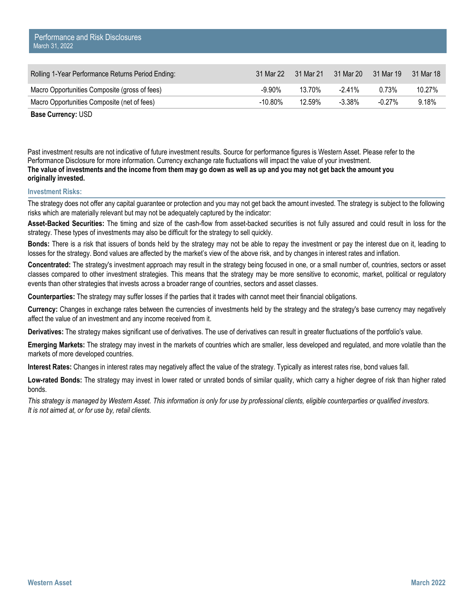| Rolling 1-Year Performance Returns Period Ending: | 31 Mar 22 | 31 Mar 21 | 31 Mar 20 | 31 Mar 19 | 31 Mar 18 |
|---------------------------------------------------|-----------|-----------|-----------|-----------|-----------|
| Macro Opportunities Composite (gross of fees)     | -9.90%    | 13.70%    | $-241\%$  | 0.73%     | 10.27%    |
| Macro Opportunities Composite (net of fees)       | -10.80%   | 12.59%    | $-3.38\%$ | $-0.27\%$ | 9.18%     |

Past investment results are not indicative of future investment results. Source for performance figures is Western Asset. Please refer to the Performance Disclosure for more information. Currency exchange rate fluctuations will impact the value of your investment. **The value of investments and the income from them may go down as well as up and you may not get back the amount you originally invested.** 

## **Investment Risks:**

The strategy does not offer any capital guarantee or protection and you may not get back the amount invested. The strategy is subject to the following risks which are materially relevant but may not be adequately captured by the indicator:

**Asset-Backed Securities:** The timing and size of the cash-flow from asset-backed securities is not fully assured and could result in loss for the strategy. These types of investments may also be difficult for the strategy to sell quickly.

**Bonds:** There is a risk that issuers of bonds held by the strategy may not be able to repay the investment or pay the interest due on it, leading to losses for the strategy. Bond values are affected by the market's view of the above risk, and by changes in interest rates and inflation.

**Concentrated:** The strategy's investment approach may result in the strategy being focused in one, or a small number of, countries, sectors or asset classes compared to other investment strategies. This means that the strategy may be more sensitive to economic, market, political or regulatory events than other strategies that invests across a broader range of countries, sectors and asset classes.

**Counterparties:** The strategy may suffer losses if the parties that it trades with cannot meet their financial obligations.

**Currency:** Changes in exchange rates between the currencies of investments held by the strategy and the strategy's base currency may negatively affect the value of an investment and any income received from it.

**Derivatives:** The strategy makes significant use of derivatives. The use of derivatives can result in greater fluctuations of the portfolio's value.

**Emerging Markets:** The strategy may invest in the markets of countries which are smaller, less developed and regulated, and more volatile than the markets of more developed countries.

**Interest Rates:** Changes in interest rates may negatively affect the value of the strategy. Typically as interest rates rise, bond values fall.

**Low-rated Bonds:** The strategy may invest in lower rated or unrated bonds of similar quality, which carry a higher degree of risk than higher rated bonds.